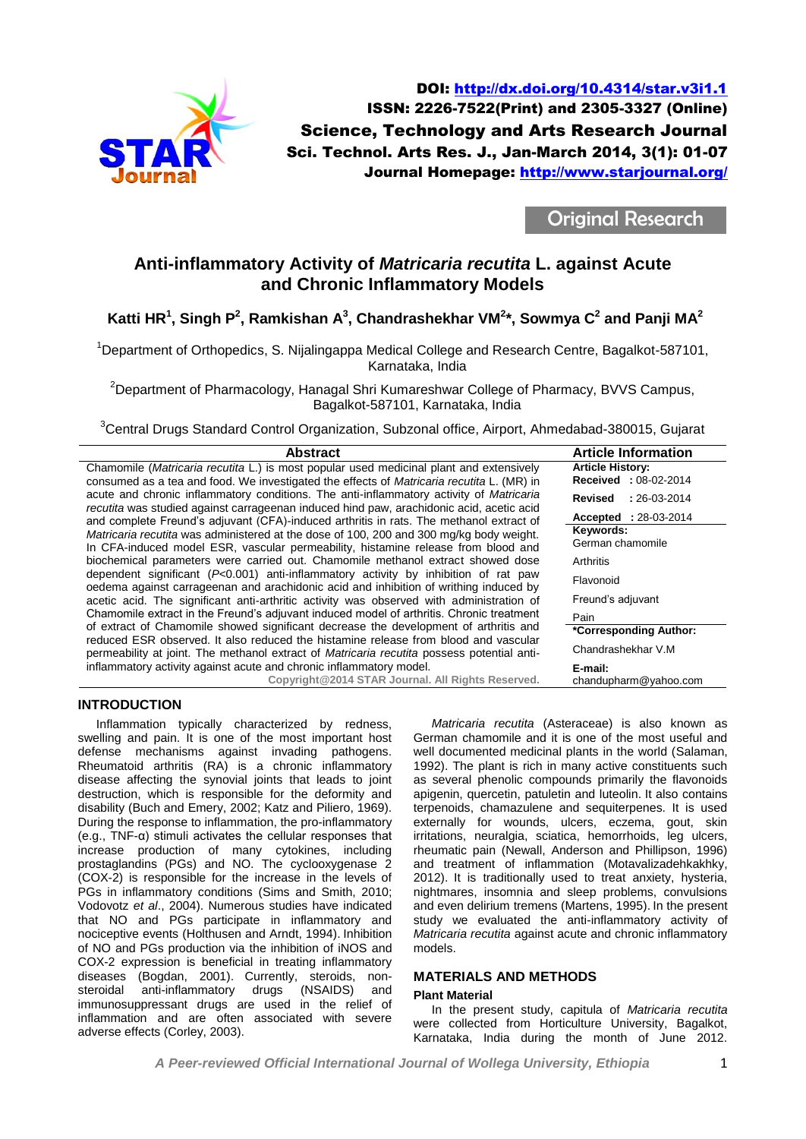

DOI:<http://dx.doi.org/10.4314/star.v3i1.1> ISSN: 2226-7522(Print) and 2305-3327 (Online) Science, Technology and Arts Research Journal Sci. Technol. Arts Res. J., Jan-March 2014, 3(1): 01-07 Journal Homepage:<http://www.starjournal.org/>

Original Research

# **Anti-inflammatory Activity of** *Matricaria recutita* **L. against Acute and Chronic Inflammatory Models**

**Katti HR<sup>1</sup> , Singh P<sup>2</sup> , Ramkishan A 3 , Chandrashekhar VM<sup>2</sup> \*, Sowmya C 2 and Panji MA<sup>2</sup>**

<sup>1</sup>Department of Orthopedics, S. Nijalingappa Medical College and Research Centre, Bagalkot-587101, Karnataka, India

<sup>2</sup>Department of Pharmacology, Hanagal Shri Kumareshwar College of Pharmacy, BVVS Campus, Bagalkot-587101, Karnataka, India

<sup>3</sup>Central Drugs Standard Control Organization, Subzonal office, Airport, Ahmedabad-380015, Gujarat

| <b>Abstract</b>                                                                                                                                                                     | <b>Article Information</b>   |
|-------------------------------------------------------------------------------------------------------------------------------------------------------------------------------------|------------------------------|
| Chamomile (Matricaria recutita L.) is most popular used medicinal plant and extensively                                                                                             | <b>Article History:</b>      |
| consumed as a tea and food. We investigated the effects of <i>Matricaria recutita</i> L. (MR) in                                                                                    | <b>Received</b> : 08-02-2014 |
| acute and chronic inflammatory conditions. The anti-inflammatory activity of Matricaria<br>recutita was studied against carrageenan induced hind paw, arachidonic acid, acetic acid | Revised<br>$: 26-03-2014$    |
| and complete Freund's adjuvant (CFA)-induced arthritis in rats. The methanol extract of                                                                                             | <b>Accepted</b> : 28-03-2014 |
| Matricaria recutita was administered at the dose of 100, 200 and 300 mg/kg body weight.                                                                                             | Keywords:                    |
| In CFA-induced model ESR, vascular permeability, histamine release from blood and                                                                                                   | German chamomile             |
| biochemical parameters were carried out. Chamomile methanol extract showed dose                                                                                                     | Arthritis                    |
| dependent significant ( $P<0.001$ ) anti-inflammatory activity by inhibition of rat paw<br>oedema against carrageenan and arachidonic acid and inhibition of writhing induced by    | Flavonoid                    |
| acetic acid. The significant anti-arthritic activity was observed with administration of                                                                                            | Freund's adjuvant            |
| Chamomile extract in the Freund's adjuvant induced model of arthritis. Chronic treatment                                                                                            | Pain                         |
| of extract of Chamomile showed significant decrease the development of arthritis and                                                                                                | *Corresponding Author:       |
| reduced ESR observed. It also reduced the histamine release from blood and vascular                                                                                                 | Chandrashekhar V.M           |
| permeability at joint. The methanol extract of <i>Matricaria recutita</i> possess potential anti-                                                                                   |                              |
| inflammatory activity against acute and chronic inflammatory model.                                                                                                                 | E-mail:                      |
| Copyright@2014 STAR Journal. All Rights Reserved.                                                                                                                                   | chandupharm@yahoo.com        |

# **INTRODUCTION**

Inflammation typically characterized by redness, swelling and pain. It is one of the most important host defense mechanisms against invading pathogens. Rheumatoid arthritis (RA) is a chronic inflammatory disease affecting the synovial joints that leads to joint destruction, which is responsible for the deformity and disability (Buch and Emery, 2002; Katz and Piliero, 1969). During the response to inflammation, the pro-inflammatory (e.g., TNF-α) stimuli activates the cellular responses that increase production of many cytokines, including prostaglandins (PGs) and NO. The cyclooxygenase 2 (COX-2) is responsible for the increase in the levels of PGs in inflammatory conditions (Sims and Smith, 2010; Vodovotz *et al*., 2004). Numerous studies have indicated that NO and PGs participate in inflammatory and nociceptive events (Holthusen and Arndt, 1994). Inhibition of NO and PGs production via the inhibition of iNOS and COX-2 expression is beneficial in treating inflammatory diseases (Bogdan, 2001). Currently, steroids, non-<br>steroidal anti-inflammatory drugs (NSAIDS) and steroidal anti-inflammatory drugs (NSAIDS) and immunosuppressant drugs are used in the relief of inflammation and are often associated with severe adverse effects (Corley, 2003).

*Matricaria recutita* (Asteraceae) is also known as German chamomile and it is one of the most useful and well documented medicinal plants in the world (Salaman, 1992). The plant is rich in many active constituents such as several phenolic compounds primarily the flavonoids apigenin, quercetin, patuletin and luteolin. It also contains terpenoids, chamazulene and sequiterpenes. It is used externally for wounds, ulcers, eczema, gout, skin irritations, neuralgia, sciatica, hemorrhoids, leg ulcers, rheumatic pain (Newall, Anderson and Phillipson, 1996) and treatment of inflammation (Motavalizadehkakhky, 2012). It is traditionally used to treat anxiety, hysteria, nightmares, insomnia and sleep problems, convulsions and even delirium tremens (Martens, 1995). In the present study we evaluated the anti-inflammatory activity of *Matricaria recutita* against acute and chronic inflammatory models.

# **MATERIALS AND METHODS**

#### **Plant Material**

In the present study, capitula of *Matricaria recutita* were collected from Horticulture University, Bagalkot, Karnataka, India during the month of June 2012.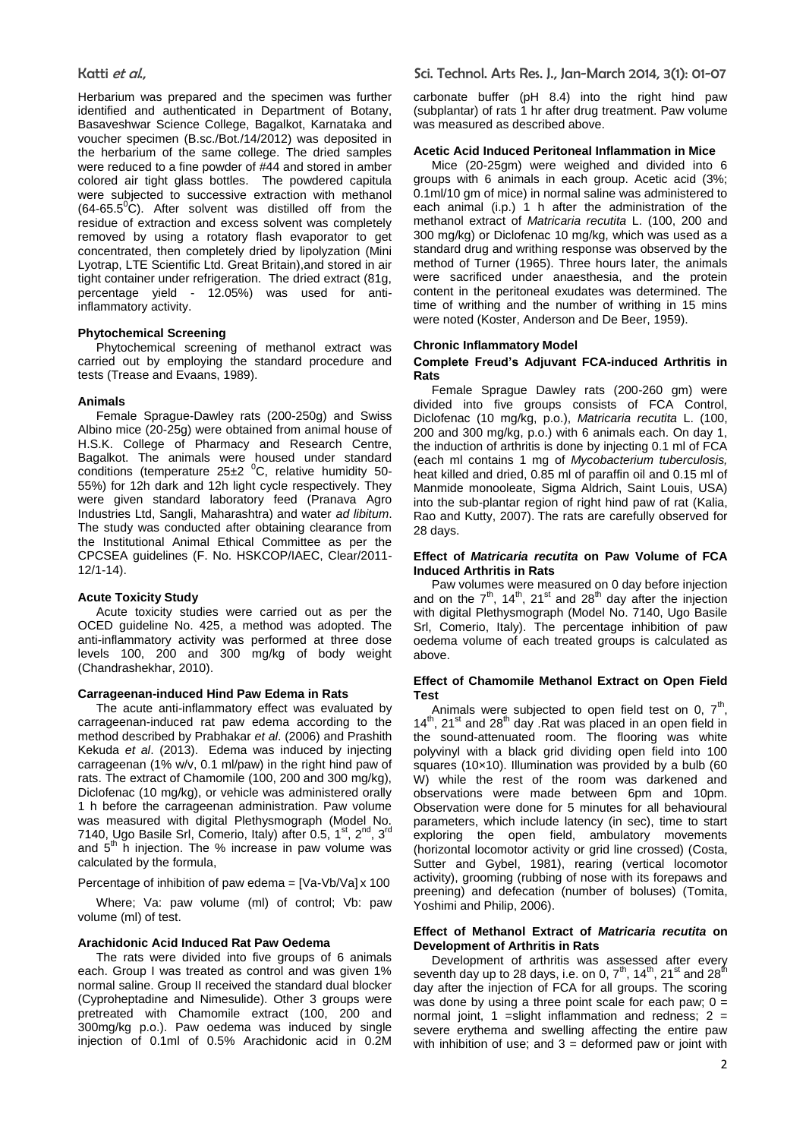Herbarium was prepared and the specimen was further identified and authenticated in Department of Botany, Basaveshwar Science College, Bagalkot, Karnataka and voucher specimen (B.sc./Bot./14/2012) was deposited in the herbarium of the same college. The dried samples were reduced to a fine powder of #44 and stored in amber colored air tight glass bottles. The powdered capitula were subjected to successive extraction with methanol  $(64-65.5^{\circ}C)$ . After solvent was distilled off from the residue of extraction and excess solvent was completely removed by using a rotatory flash evaporator to get concentrated, then completely dried by lipolyzation (Mini Lyotrap, LTE Scientific Ltd. Great Britain),and stored in air tight container under refrigeration. The dried extract (81g, percentage yield - 12.05%) was used for antiinflammatory activity.

# **Phytochemical Screening**

Phytochemical screening of methanol extract was carried out by employing the standard procedure and tests (Trease and Evaans, 1989).

#### **Animals**

Female Sprague-Dawley rats (200-250g) and Swiss Albino mice (20-25g) were obtained from animal house of H.S.K. College of Pharmacy and Research Centre, Bagalkot. The animals were housed under standard conditions (temperature  $25\pm2~^0$ C, relative humidity 50-55%) for 12h dark and 12h light cycle respectively. They were given standard laboratory feed (Pranava Agro Industries Ltd, Sangli, Maharashtra) and water *ad libitum*. The study was conducted after obtaining clearance from the Institutional Animal Ethical Committee as per the CPCSEA guidelines (F. No. HSKCOP/IAEC, Clear/2011- 12/1-14).

#### **Acute Toxicity Study**

Acute toxicity studies were carried out as per the OCED guideline No. 425, a method was adopted. The anti-inflammatory activity was performed at three dose levels 100, 200 and 300 mg/kg of body weight (Chandrashekhar, 2010).

#### **Carrageenan-induced Hind Paw Edema in Rats**

The acute anti-inflammatory effect was evaluated by carrageenan-induced rat paw edema according to the method described by Prabhakar *et al*. (2006) and Prashith Kekuda *et al*. (2013). Edema was induced by injecting carrageenan (1% w/v, 0.1 ml/paw) in the right hind paw of rats. The extract of Chamomile (100, 200 and 300 mg/kg), Diclofenac (10 mg/kg), or vehicle was administered orally 1 h before the carrageenan administration. Paw volume was measured with digital Plethysmograph (Model No. 7140, Ugo Basile Srl, Comerio, Italy) after 0.5, 1<sup>st</sup>, 2<sup>nd</sup>, 3<sup>rd</sup> and  $5<sup>th</sup>$  h injection. The % increase in paw volume was calculated by the formula,

Percentage of inhibition of paw edema = [Va-Vb/Va] x 100

Where; Va: paw volume (ml) of control; Vb: paw volume (ml) of test.

#### **Arachidonic Acid Induced Rat Paw Oedema**

The rats were divided into five groups of 6 animals each. Group I was treated as control and was given 1% normal saline. Group II received the standard dual blocker (Cyproheptadine and Nimesulide). Other 3 groups were pretreated with Chamomile extract (100, 200 and 300mg/kg p.o.). Paw oedema was induced by single injection of 0.1ml of 0.5% Arachidonic acid in 0.2M carbonate buffer (pH 8.4) into the right hind paw (subplantar) of rats 1 hr after drug treatment. Paw volume was measured as described above.

### **Acetic Acid Induced Peritoneal Inflammation in Mice**

Mice (20-25gm) were weighed and divided into 6 groups with 6 animals in each group. Acetic acid (3%; 0.1ml/10 gm of mice) in normal saline was administered to each animal (i.p.) 1 h after the administration of the methanol extract of *Matricaria recutita* L. (100, 200 and 300 mg/kg) or Diclofenac 10 mg/kg, which was used as a standard drug and writhing response was observed by the method of Turner (1965). Three hours later, the animals were sacrificed under anaesthesia, and the protein content in the peritoneal exudates was determined. The time of writhing and the number of writhing in 15 mins were noted (Koster, Anderson and De Beer, 1959).

#### **Chronic Inflammatory Model**

#### **Complete Freud's Adjuvant FCA-induced Arthritis in Rats**

Female Sprague Dawley rats (200-260 gm) were divided into five groups consists of FCA Control, Diclofenac (10 mg/kg, p.o.), *Matricaria recutita* L. (100, 200 and 300 mg/kg, p.o.) with 6 animals each. On day 1, the induction of arthritis is done by injecting 0.1 ml of FCA (each ml contains 1 mg of *Mycobacterium tuberculosis,*  heat killed and dried, 0.85 ml of paraffin oil and 0.15 ml of Manmide monooleate, Sigma Aldrich, Saint Louis, USA) into the sub-plantar region of right hind paw of rat (Kalia, Rao and Kutty, 2007). The rats are carefully observed for 28 days.

#### **Effect of** *Matricaria recutita* **on Paw Volume of FCA Induced Arthritis in Rats**

Paw volumes were measured on 0 day before injection and on the  $7<sup>th</sup>$ , 14<sup>th</sup>, 21<sup>st</sup> and 28<sup>th</sup> day after the injection with digital Plethysmograph (Model No. 7140, Ugo Basile Srl, Comerio, Italy). The percentage inhibition of paw oedema volume of each treated groups is calculated as above.

#### **Effect of Chamomile Methanol Extract on Open Field Test**

Animals were subjected to open field test on 0,  $7<sup>th</sup>$ , 14<sup>th</sup>, 21<sup>st</sup> and 28<sup>th</sup> day .Rat was placed in an open field in the sound-attenuated room. The flooring was white polyvinyl with a black grid dividing open field into 100 squares (10×10). Illumination was provided by a bulb (60 W) while the rest of the room was darkened and observations were made between 6pm and 10pm. Observation were done for 5 minutes for all behavioural parameters, which include latency (in sec), time to start exploring the open field, ambulatory movements (horizontal locomotor activity or grid line crossed) (Costa, Sutter and Gybel, 1981), rearing (vertical locomotor activity), grooming (rubbing of nose with its forepaws and preening) and defecation (number of boluses) (Tomita, Yoshimi and Philip, 2006).

#### **Effect of Methanol Extract of** *Matricaria recutita* **on Development of Arthritis in Rats**

Development of arthritis was assessed after every seventh day up to 28 days, i.e. on 0,  $7<sup>th</sup>$ ,  $14<sup>th</sup>$ ,  $21<sup>st</sup>$  and  $28<sup>fh</sup>$ day after the injection of FCA for all groups. The scoring was done by using a three point scale for each paw;  $0 =$ normal joint, 1 = slight inflammation and redness;  $2 =$ severe erythema and swelling affecting the entire paw with inhibition of use; and  $3 =$  deformed paw or joint with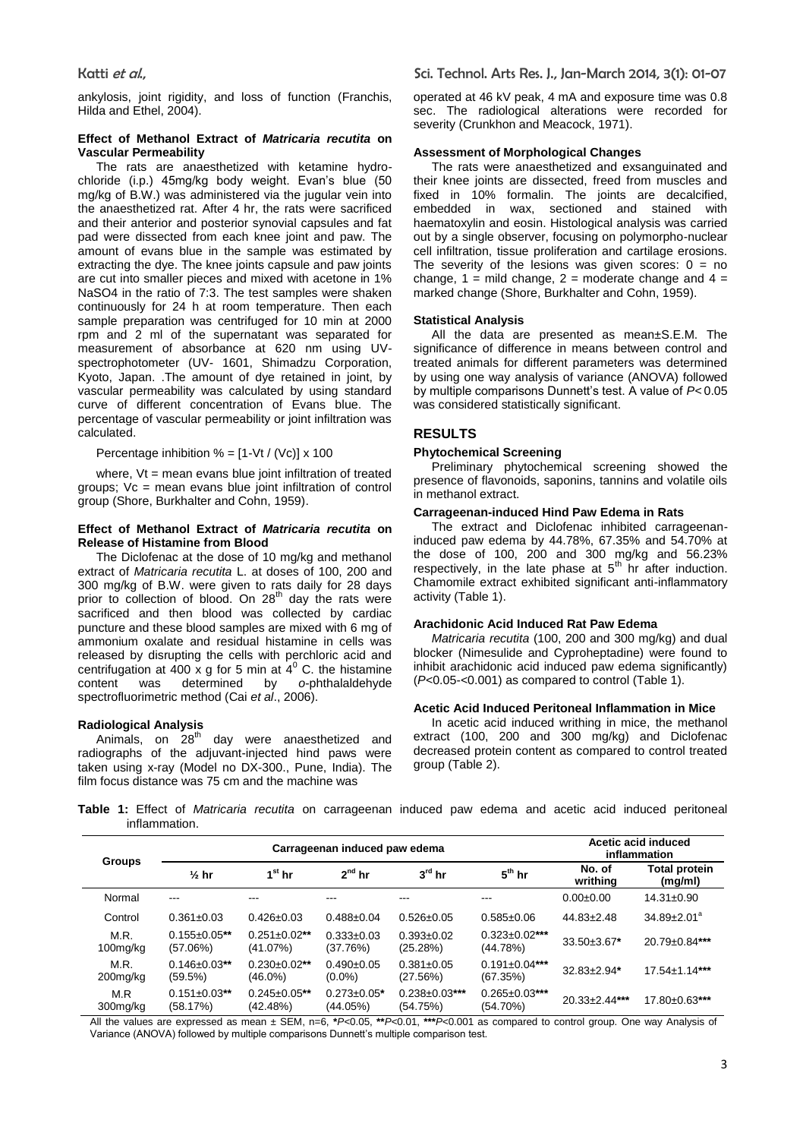ankylosis, joint rigidity, and loss of function (Franchis, Hilda and Ethel, 2004).

#### **Effect of Methanol Extract of** *Matricaria recutita* **on Vascular Permeability**

The rats are anaesthetized with ketamine hydrochloride (i.p.) 45mg/kg body weight. Evan's blue (50 mg/kg of B.W.) was administered via the jugular vein into the anaesthetized rat. After 4 hr, the rats were sacrificed and their anterior and posterior synovial capsules and fat pad were dissected from each knee joint and paw. The amount of evans blue in the sample was estimated by extracting the dye. The knee joints capsule and paw joints are cut into smaller pieces and mixed with acetone in 1% NaSO4 in the ratio of 7:3. The test samples were shaken continuously for 24 h at room temperature. Then each sample preparation was centrifuged for 10 min at 2000 rpm and 2 ml of the supernatant was separated for measurement of absorbance at 620 nm using UVspectrophotometer (UV- 1601, Shimadzu Corporation, Kyoto, Japan. .The amount of dye retained in joint, by vascular permeability was calculated by using standard curve of different concentration of Evans blue. The percentage of vascular permeability or joint infiltration was calculated.

Percentage inhibition  $% = [1-Vt / (Vc)] \times 100$ 

where,  $Vt$  = mean evans blue joint infiltration of treated groups; Vc = mean evans blue joint infiltration of control group (Shore, Burkhalter and Cohn, 1959).

### **Effect of Methanol Extract of** *Matricaria recutita* **on Release of Histamine from Blood**

The Diclofenac at the dose of 10 mg/kg and methanol extract of *Matricaria recutita* L. at doses of 100, 200 and 300 mg/kg of B.W. were given to rats daily for 28 days prior to collection of blood. On  $28<sup>th</sup>$  day the rats were sacrificed and then blood was collected by cardiac puncture and these blood samples are mixed with 6 mg of ammonium oxalate and residual histamine in cells was released by disrupting the cells with perchloric acid and centrifugation at 400 x g for 5 min at  $4^{\circ}$  C. the histamine content was determined by *o*-phthalaldehyde spectrofluorimetric method (Cai *et al*., 2006).

**Radiological Analysis** day were anaesthetized and radiographs of the adjuvant-injected hind paws were taken using x-ray (Model no DX-300., Pune, India). The film focus distance was 75 cm and the machine was

operated at 46 kV peak, 4 mA and exposure time was 0.8 sec. The radiological alterations were recorded for severity (Crunkhon and Meacock, 1971).

#### **Assessment of Morphological Changes**

The rats were anaesthetized and exsanguinated and their knee joints are dissected, freed from muscles and fixed in 10% formalin. The joints are decalcified, embedded in wax, sectioned and stained with haematoxylin and eosin. Histological analysis was carried out by a single observer, focusing on polymorpho-nuclear cell infiltration, tissue proliferation and cartilage erosions. The severity of the lesions was given scores:  $0 = no$ change,  $1 =$  mild change,  $2 =$  moderate change and  $4 =$ marked change (Shore, Burkhalter and Cohn, 1959).

#### **Statistical Analysis**

All the data are presented as mean±S.E.M. The significance of difference in means between control and treated animals for different parameters was determined by using one way analysis of variance (ANOVA) followed by multiple comparisons Dunnett's test. A value of *P<* 0.05 was considered statistically significant.

#### **RESULTS**

#### **Phytochemical Screening**

Preliminary phytochemical screening showed the presence of flavonoids, saponins, tannins and volatile oils in methanol extract.

# **Carrageenan-induced Hind Paw Edema in Rats**

The extract and Diclofenac inhibited carrageenaninduced paw edema by 44.78%, 67.35% and 54.70% at the dose of 100, 200 and 300 mg/kg and 56.23% respectively, in the late phase at  $5<sup>th</sup>$  hr after induction. Chamomile extract exhibited significant anti-inflammatory activity (Table 1).

#### **Arachidonic Acid Induced Rat Paw Edema**

*Matricaria recutita* (100, 200 and 300 mg/kg) and dual blocker (Nimesulide and Cyproheptadine) were found to inhibit arachidonic acid induced paw edema significantly) (*P<*0.05-<0.001) as compared to control (Table 1).

#### **Acetic Acid Induced Peritoneal Inflammation in Mice**

In acetic acid induced writhing in mice, the methanol extract (100, 200 and 300 mg/kg) and Diclofenac decreased protein content as compared to control treated group (Table 2).

**Table 1:** Effect of *Matricaria recutita* on carrageenan induced paw edema and acetic acid induced peritoneal inflammation.

| <b>Groups</b>       |                                 | Carrageenan induced paw edema   | Acetic acid induced<br>inflammation |                                  |                                  |                      |                          |
|---------------------|---------------------------------|---------------------------------|-------------------------------------|----------------------------------|----------------------------------|----------------------|--------------------------|
|                     | $\frac{1}{2}$ hr                | $1st$ hr                        | $2^{nd}$ hr                         | $3^{\text{rd}}$ hr               | $5th$ hr                         | No. of<br>writhing   | Total protein<br>(mg/ml) |
| Normal              | ---                             | ---                             | ---                                 | $- - -$                          | ---                              | $0.00 + 0.00$        | $14.31 \pm 0.90$         |
| Control             | $0.361 \pm 0.03$                | $0.426 \pm 0.03$                | $0.488 + 0.04$                      | $0.526 \pm 0.05$                 | $0.585 \pm 0.06$                 | $44.83 \pm 2.48$     | $34.89 \pm 2.01^a$       |
| M.R.<br>$100$ mg/kg | $0.155 \pm 0.05$ **<br>(57.06%) | $0.251 \pm 0.02$ **<br>(41.07%) | $0.333+0.03$<br>(37.76%)            | $0.393 \pm 0.02$<br>(25.28%)     | $0.323 \pm 0.02$ ***<br>(44.78%) | $33.50 \pm 3.67$ *   | 20.79±0.84***            |
| M.R.<br>200mg/kg    | $0.146 \pm 0.03$ **<br>(59.5%)  | $0.230\pm0.02**$<br>$(46.0\%)$  | $0.490+0.05$<br>$(0.0\%)$           | $0.381 \pm 0.05$<br>(27.56%)     | $0.191 \pm 0.04$ ***<br>(67.35%) | $32.83 \pm 2.94*$    | $17.54 \pm 1.14$ ***     |
| M.R<br>300mg/kg     | $0.151 \pm 0.03$ **<br>(58.17%) | $0.245 \pm 0.05$ **<br>(42.48%) | $0.273 \pm 0.05$ *<br>(44.05%)      | $0.238 \pm 0.03$ ***<br>(54.75%) | $0.265 \pm 0.03$ ***<br>(54.70%) | $20.33 \pm 2.44$ *** | 17.80±0.63***            |

All the values are expressed as mean ± SEM, n=6, **\****P<*0.05, **\*\****P<*0.01, **\*\*\****P<*0.001 as compared to control group. One way Analysis of Variance (ANOVA) followed by multiple comparisons Dunnett's multiple comparison test.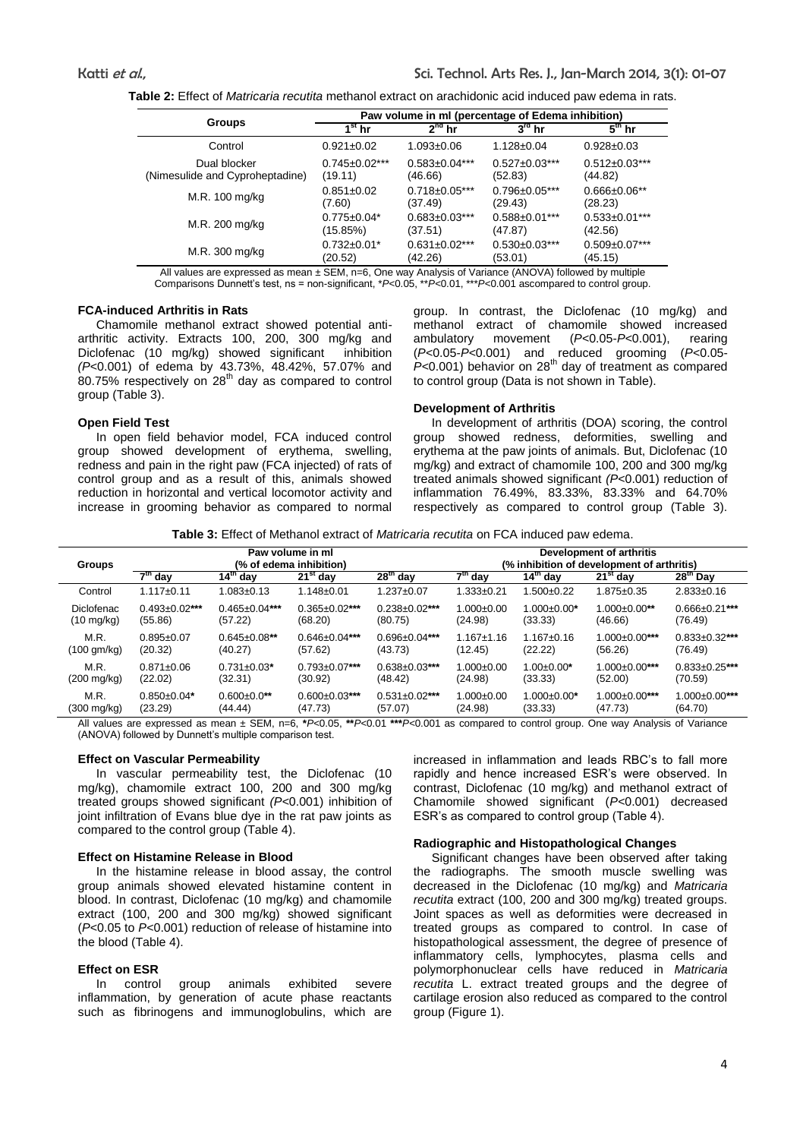**Table 2:** Effect of *Matricaria recutita* methanol extract on arachidonic acid induced paw edema in rats.

|                                 | Paw volume in ml (percentage of Edema inhibition) |                      |                      |                      |  |  |
|---------------------------------|---------------------------------------------------|----------------------|----------------------|----------------------|--|--|
| <b>Groups</b>                   | $1^{\rm st}$ hr                                   | $2^{nd}$ hr          | $3^{\text{rd}}$ hr   | $5^{\text{th}}$ hr   |  |  |
| Control                         | $0.921 \pm 0.02$                                  | $1.093 \pm 0.06$     | $1.128 \pm 0.04$     | $0.928 \pm 0.03$     |  |  |
| Dual blocker                    | $0.745 \pm 0.02$ ***                              | $0.583 \pm 0.04$ *** | $0.527 \pm 0.03$ *** | $0.512 \pm 0.03$ *** |  |  |
| (Nimesulide and Cyproheptadine) | (19.11)                                           | (46.66)              | (52.83)              | (44.82)              |  |  |
| M.R. 100 mg/kg                  | $0.851 \pm 0.02$                                  | $0.718 \pm 0.05$ *** | $0.796 \pm 0.05$ *** | $0.666 \pm 0.06**$   |  |  |
|                                 | (7.60)                                            | (37.49)              | (29.43)              | (28.23)              |  |  |
| M.R. 200 mg/kg                  | $0.775 \pm 0.04*$                                 | $0.683 \pm 0.03$ *** | $0.588 \pm 0.01***$  | $0.533 \pm 0.01$ *** |  |  |
|                                 | (15.85%)                                          | (37.51)              | (47.87)              | (42.56)              |  |  |
| M.R. 300 mg/kg                  | $0.732 \pm 0.01$ *                                | $0.631 \pm 0.02$ *** | $0.530 \pm 0.03$ *** | $0.509 \pm 0.07$ *** |  |  |
|                                 | (20.52)                                           | (42.26)              | (53.01)              | (45.15)              |  |  |

All values are expressed as mean ± SEM, n=6, One way Analysis of Variance (ANOVA) followed by multiple Comparisons Dunnett's test, ns = non-significant, \**P<*0.05, \*\**P<*0.01, \*\*\**P<*0.001 ascompared to control group.

### **FCA-induced Arthritis in Rats**

Chamomile methanol extract showed potential antiarthritic activity. Extracts 100, 200, 300 mg/kg and Diclofenac (10 mg/kg) showed significantinhibition *(P<*0.001) of edema by 43.73%, 48.42%, 57.07% and  $80.75\%$  respectively on  $28<sup>th</sup>$  day as compared to control group (Table 3).

#### **Open Field Test**

In open field behavior model, FCA induced control group showed development of erythema, swelling, redness and pain in the right paw (FCA injected) of rats of control group and as a result of this, animals showed reduction in horizontal and vertical locomotor activity and increase in grooming behavior as compared to normal group. In contrast, the Diclofenac (10 mg/kg) and methanol extract of chamomile showed increased ambulatory movement (*P<*0.05-*P<*0.001), rearing (*P<*0.05-*P<*0.001) and reduced grooming (*P<*0.05- *P*<0.001) behavior on 28<sup>th</sup> day of treatment as compared to control group (Data is not shown in Table).

#### **Development of Arthritis**

In development of arthritis (DOA) scoring, the control group showed redness, deformities, swelling and erythema at the paw joints of animals. But, Diclofenac (10 mg/kg) and extract of chamomile 100, 200 and 300 mg/kg treated animals showed significant *(P<*0.001) reduction of inflammation 76.49%, 83.33%, 83.33% and 64.70% respectively as compared to control group (Table 3).

**Table 3:** Effect of Methanol extract of *Matricaria recutita* on FCA induced paw edema.

| <b>Groups</b>         | Paw volume in ml<br>(% of edema inhibition) |                      |                      |                      | Development of arthritis<br>(% inhibition of development of arthritis) |                      |                      |                      |
|-----------------------|---------------------------------------------|----------------------|----------------------|----------------------|------------------------------------------------------------------------|----------------------|----------------------|----------------------|
|                       | $7th$ day                                   | $14th$ dav           | $21st$ day           | $28th$ day           | $7th$ dav                                                              | 14 <sup>th</sup> dav | $21st$ day           | 28 <sup>th</sup> Day |
| Control               | $1.117 + 0.11$                              | $1.083 + 0.13$       | $1.148 + 0.01$       | $1.237 + 0.07$       | $1.333 + 0.21$                                                         | $1.500+0.22$         | $1.875 \pm 0.35$     | $2.833 \pm 0.16$     |
| <b>Diclofenac</b>     | $0.493 \pm 0.02$ ***                        | $0.465 \pm 0.04$ *** | $0.365 \pm 0.02$ *** | $0.238 + 0.02$ ***   | $1.000 + 0.00$                                                         | $1.000 \pm 0.00^*$   | $1.000 \pm 0.00$ **  | $0.666 \pm 0.21$ *** |
| $(10 \text{ mg/kg})$  | (55.86)                                     | (57.22)              | (68.20)              | (80.75)              | (24.98)                                                                | (33.33)              | (46.66)              | (76.49)              |
| M.R.                  | $0.895 \pm 0.07$                            | $0.645 \pm 0.08$ **  | $0.646 \pm 0.04$ *** | $0.696 \pm 0.04$ *** | $1.167 + 1.16$                                                         | $1.167 + 0.16$       | $1.000 \pm 0.00$ *** | $0.833 \pm 0.32$ *** |
| $(100 \text{ gm/kg})$ | (20.32)                                     | (40.27)              | (57.62)              | (43.73)              | (12.45)                                                                | (22.22)              | (56.26)              | (76.49)              |
| M.R.                  | $0.871 \pm 0.06$                            | $0.731 \pm 0.03$ *   | $0.793 \pm 0.07$ *** | $0.638 \pm 0.03$ *** | $1.000 \pm 0.00$                                                       | $1.00 \pm 0.00^*$    | $1.000 \pm 0.00$ *** | $0.833 \pm 0.25$ *** |
| $(200 \text{ mg/kg})$ | (22.02)                                     | (32.31)              | (30.92)              | (48.42)              | (24.98)                                                                | (33.33)              | (52.00)              | (70.59)              |
| M.R.                  | $0.850\pm0.04*$                             | $0.600 \pm 0.0$ **   | $0.600 \pm 0.03$ *** | $0.531 \pm 0.02$ *** | $1.000 + 0.00$                                                         | $1.000 \pm 0.00^*$   | $1.000 \pm 0.00$ *** | $1.000 \pm 0.00$ *** |
| (300 mg/kg)           | (23.29)                                     | (44.44)              | (47.73)              | (57.07)              | (24.98)                                                                | (33.33)              | (47.73)              | (64.70)              |

All values are expressed as mean ± SEM, n=6, **\****P<*0.05, **\*\****P<*0.01 **\*\*\****P<*0.001 as compared to control group. One way Analysis of Variance (ANOVA) followed by Dunnett's multiple comparison test.

#### **Effect on Vascular Permeability**

In vascular permeability test, the Diclofenac (10 mg/kg), chamomile extract 100, 200 and 300 mg/kg treated groups showed significant *(P<*0.001) inhibition of joint infiltration of Evans blue dye in the rat paw joints as compared to the control group (Table 4).

#### **Effect on Histamine Release in Blood**

In the histamine release in blood assay, the control group animals showed elevated histamine content in blood. In contrast, Diclofenac (10 mg/kg) and chamomile extract (100, 200 and 300 mg/kg) showed significant (*P<*0.05 to *P<*0.001) reduction of release of histamine into the blood (Table 4).

# **Effect on ESR**

In control group animals exhibited severe inflammation, by generation of acute phase reactants such as fibrinogens and immunoglobulins, which are increased in inflammation and leads RBC's to fall more rapidly and hence increased ESR's were observed. In contrast, Diclofenac (10 mg/kg) and methanol extract of Chamomile showed significant (*P<*0.001) decreased ESR's as compared to control group (Table 4).

#### **Radiographic and Histopathological Changes**

Significant changes have been observed after taking the radiographs. The smooth muscle swelling was decreased in the Diclofenac (10 mg/kg) and *Matricaria recutita* extract (100, 200 and 300 mg/kg) treated groups. Joint spaces as well as deformities were decreased in treated groups as compared to control. In case of histopathological assessment, the degree of presence of inflammatory cells, lymphocytes, plasma cells and polymorphonuclear cells have reduced in *Matricaria recutita* L. extract treated groups and the degree of cartilage erosion also reduced as compared to the control group (Figure 1).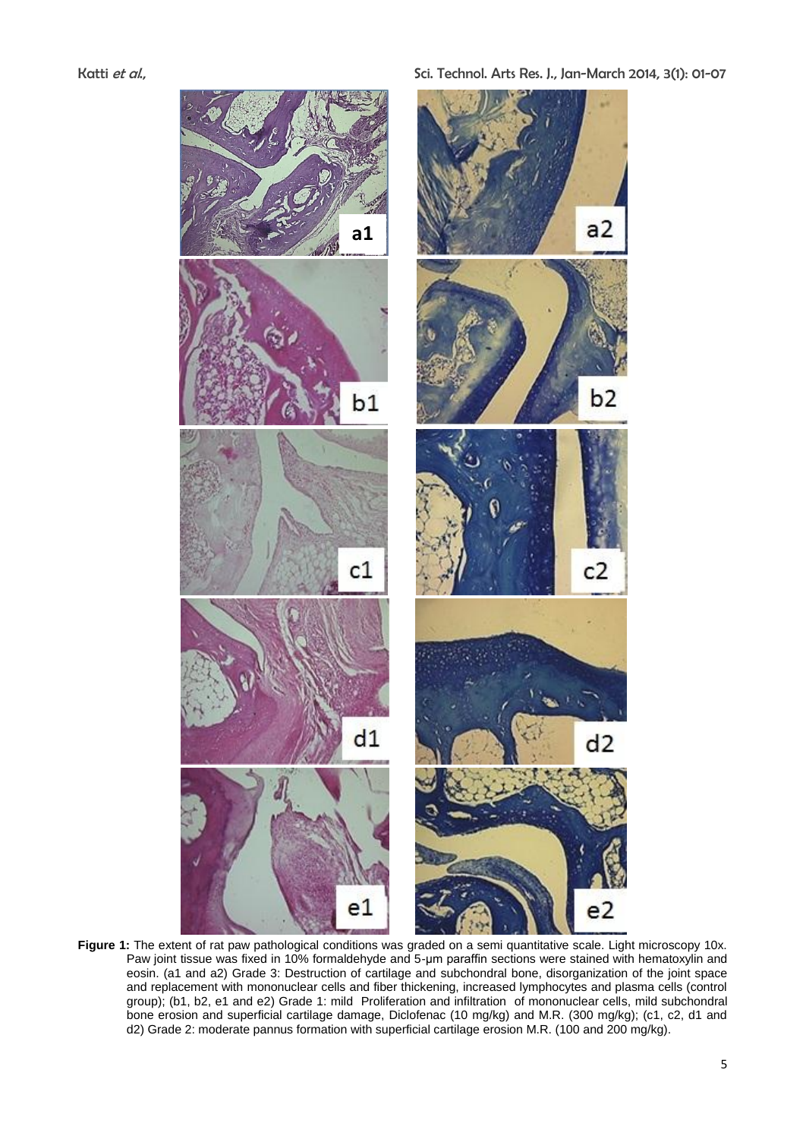



**Figure 1:** The extent of rat paw pathological conditions was graded on a semi quantitative scale. Light microscopy 10x. Paw joint tissue was fixed in 10% formaldehyde and 5-μm paraffin sections were stained with hematoxylin and eosin. (a1 and a2) Grade 3: Destruction of cartilage and subchondral bone, disorganization of the joint space and replacement with mononuclear cells and fiber thickening, increased lymphocytes and plasma cells (control group); (b1, b2, e1 and e2) Grade 1: mild Proliferation and infiltration of mononuclear cells, mild subchondral bone erosion and superficial cartilage damage, Diclofenac (10 mg/kg) and M.R. (300 mg/kg); (c1, c2, d1 and d2) Grade 2: moderate pannus formation with superficial cartilage erosion M.R. (100 and 200 mg/kg).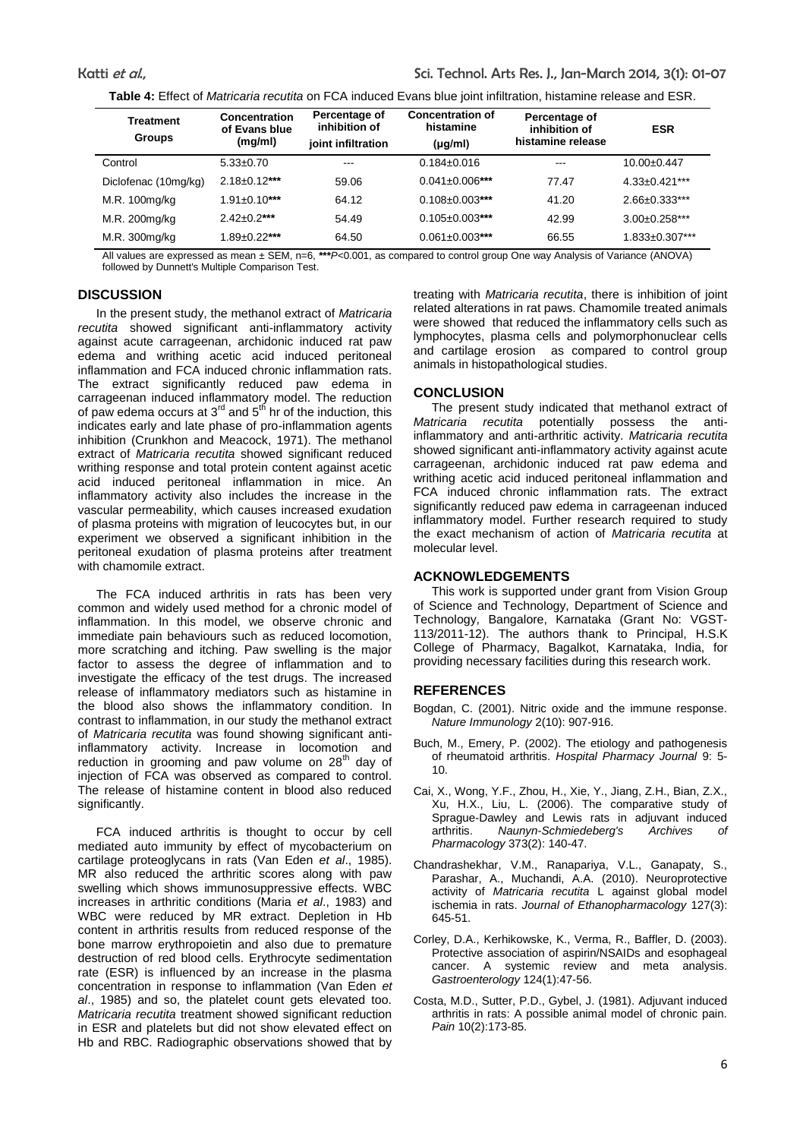|  | <b>Table 4:</b> Effect of <i>Matricaria recutita</i> on FCA induced Evans blue joint infiltration, histamine release and ESR. |
|--|-------------------------------------------------------------------------------------------------------------------------------|
|--|-------------------------------------------------------------------------------------------------------------------------------|

| Treatment<br><b>Groups</b> | Concentration<br>of Evans blue<br>(mg/ml) | Percentage of<br>inhibition of<br>joint infiltration | <b>Concentration of</b><br>histamine<br>$(\mu g/ml)$ | Percentage of<br>inhibition of<br>histamine release | <b>ESR</b>           |
|----------------------------|-------------------------------------------|------------------------------------------------------|------------------------------------------------------|-----------------------------------------------------|----------------------|
| Control                    | $5.33 \pm 0.70$                           | ---                                                  | $0.184 \pm 0.016$                                    | $- - -$                                             | $10.00 \pm 0.447$    |
| Diclofenac (10mg/kg)       | $2.18 \pm 0.12***$                        | 59.06                                                | $0.041 \pm 0.006$ ***                                | 77.47                                               | $4.33 \pm 0.421$ *** |
| M.R. 100mg/kg              | $1.91 \pm 0.10***$                        | 64.12                                                | $0.108 \pm 0.003$ ***                                | 41.20                                               | $2.66 \pm 0.333$ *** |
| M.R. 200mg/kg              | $2.42 \pm 0.2$ ***                        | 54.49                                                | $0.105 \pm 0.003$ ***                                | 42.99                                               | $3.00 \pm 0.258$ *** |
| M.R. 300mg/kg              | $1.89 \pm 0.22$ ***                       | 64.50                                                | $0.061 \pm 0.003$ ***                                | 66.55                                               | 1.833±0.307***       |

All values are expressed as mean ± SEM, n=6, **\*\*\****P<*0.001, as compared to control group One way Analysis of Variance (ANOVA) followed by Dunnett's Multiple Comparison Test.

# **DISCUSSION**

In the present study, the methanol extract of *Matricaria recutita* showed significant anti-inflammatory activity against acute carrageenan, archidonic induced rat paw edema and writhing acetic acid induced peritoneal inflammation and FCA induced chronic inflammation rats. The extract significantly reduced paw edema in carrageenan induced inflammatory model. The reduction of paw edema occurs at 3<sup>rd</sup> and 5<sup>th</sup> hr of the induction, this indicates early and late phase of pro-inflammation agents inhibition (Crunkhon and Meacock, 1971). The methanol extract of *Matricaria recutita* showed significant reduced writhing response and total protein content against acetic acid induced peritoneal inflammation in mice. An inflammatory activity also includes the increase in the vascular permeability, which causes increased exudation of plasma proteins with migration of leucocytes but, in our experiment we observed a significant inhibition in the peritoneal exudation of plasma proteins after treatment with chamomile extract.

The FCA induced arthritis in rats has been very common and widely used method for a chronic model of inflammation. In this model, we observe chronic and immediate pain behaviours such as reduced locomotion, more scratching and itching. Paw swelling is the major factor to assess the degree of inflammation and to investigate the efficacy of the test drugs. The increased release of inflammatory mediators such as histamine in the blood also shows the inflammatory condition. In contrast to inflammation, in our study the methanol extract of *Matricaria recutita* was found showing significant antiinflammatory activity. Increase in locomotion and reduction in grooming and paw volume on  $28<sup>th</sup>$  day of injection of FCA was observed as compared to control. The release of histamine content in blood also reduced significantly.

FCA induced arthritis is thought to occur by cell mediated auto immunity by effect of mycobacterium on cartilage proteoglycans in rats (Van Eden *et al*., 1985). MR also reduced the arthritic scores along with paw swelling which shows immunosuppressive effects. WBC increases in arthritic conditions (Maria *et al*., 1983) and WBC were reduced by MR extract. Depletion in Hb content in arthritis results from reduced response of the bone marrow erythropoietin and also due to premature destruction of red blood cells. Erythrocyte sedimentation rate (ESR) is influenced by an increase in the plasma concentration in response to inflammation (Van Eden *et al*., 1985) and so, the platelet count gets elevated too. *Matricaria recutita* treatment showed significant reduction in ESR and platelets but did not show elevated effect on Hb and RBC. Radiographic observations showed that by treating with *Matricaria recutita*, there is inhibition of joint related alterations in rat paws. Chamomile treated animals were showed that reduced the inflammatory cells such as lymphocytes, plasma cells and polymorphonuclear cells and cartilage erosion as compared to control group animals in histopathological studies.

# **CONCLUSION**

The present study indicated that methanol extract of *Matricaria recutita* potentially possess the antiinflammatory and anti-arthritic activity. *Matricaria recutita* showed significant anti-inflammatory activity against acute carrageenan, archidonic induced rat paw edema and writhing acetic acid induced peritoneal inflammation and FCA induced chronic inflammation rats. The extract significantly reduced paw edema in carrageenan induced inflammatory model. Further research required to study the exact mechanism of action of *Matricaria recutita* at molecular level.

### **ACKNOWLEDGEMENTS**

This work is supported under grant from Vision Group of Science and Technology, Department of Science and Technology, Bangalore, Karnataka (Grant No: VGST-113/2011-12). The authors thank to Principal, H.S.K College of Pharmacy, Bagalkot, Karnataka, India, for providing necessary facilities during this research work.

# **REFERENCES**

- Bogdan, C. (2001). Nitric oxide and the immune response. *Nature Immunology* 2(10): 907-916.
- Buch, M., Emery, P. (2002). The etiology and pathogenesis of rheumatoid arthritis. *Hospital Pharmacy Journal* 9: 5- 10.
- Cai, X., Wong, Y.F., Zhou, H., Xie, Y., Jiang, Z.H., Bian, Z.X., Xu, H.X., Liu, L. (2006). The comparative study of Sprague-Dawley and Lewis rats in adjuvant induced arthritis. *Naunyn-Schmiedeberg's Archives of Pharmacology* 373(2): 140-47.
- Chandrashekhar, V.M., Ranapariya, V.L., Ganapaty, S., Parashar, A., Muchandi, A.A. (2010). Neuroprotective activity of *Matricaria recutita* L against global model ischemia in rats. *Journal of Ethanopharmacology* 127(3): 645-51.
- Corley, D.A., Kerhikowske, K., Verma, R., Baffler, D. (2003). Protective association of aspirin/NSAIDs and esophageal cancer. A systemic review and meta analysis. *Gastroenterology* 124(1):47-56.
- Costa, M.D., Sutter, P.D., Gybel, J. (1981). Adjuvant induced arthritis in rats: A possible animal model of chronic pain. *Pain* 10(2):173-85.